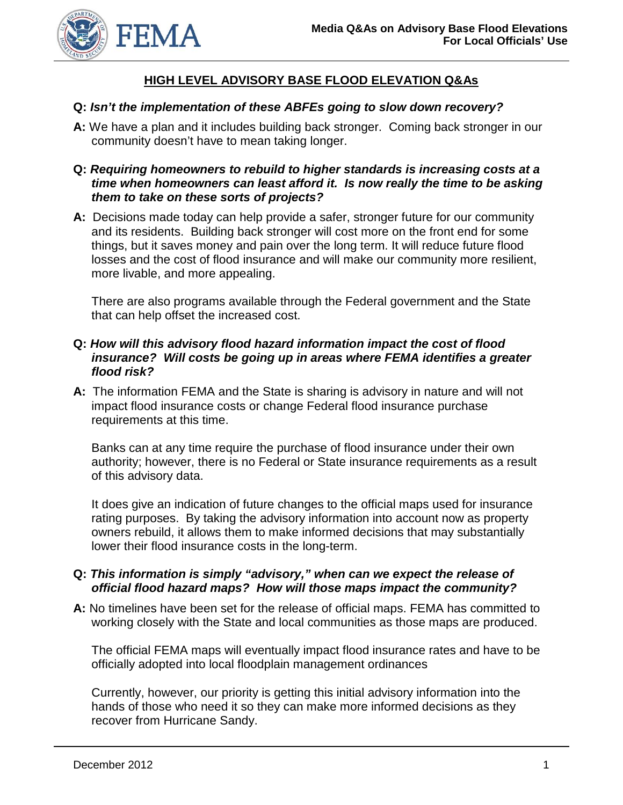

## **HIGH LEVEL ADVISORY BASE FLOOD ELEVATION Q&As**

#### **Q:** *Isn't the implementation of these ABFEs going to slow down recovery?*

- **A:** We have a plan and it includes building back stronger. Coming back stronger in our community doesn't have to mean taking longer.
- **Q:** *Requiring homeowners to rebuild to higher standards is increasing costs at a time when homeowners can least afford it. Is now really the time to be asking them to take on these sorts of projects?*
- **A:** Decisions made today can help provide a safer, stronger future for our community and its residents. Building back stronger will cost more on the front end for some things, but it saves money and pain over the long term. It will reduce future flood losses and the cost of flood insurance and will make our community more resilient, more livable, and more appealing.

There are also programs available through the Federal government and the State that can help offset the increased cost.

#### **Q:** *How will this advisory flood hazard information impact the cost of flood insurance? Will costs be going up in areas where FEMA identifies a greater flood risk?*

**A:** The information FEMA and the State is sharing is advisory in nature and will not impact flood insurance costs or change Federal flood insurance purchase requirements at this time.

Banks can at any time require the purchase of flood insurance under their own authority; however, there is no Federal or State insurance requirements as a result of this advisory data.

It does give an indication of future changes to the official maps used for insurance rating purposes. By taking the advisory information into account now as property owners rebuild, it allows them to make informed decisions that may substantially lower their flood insurance costs in the long-term.

#### **Q:** *This information is simply "advisory," when can we expect the release of official flood hazard maps? How will those maps impact the community?*

**A:** No timelines have been set for the release of official maps. FEMA has committed to working closely with the State and local communities as those maps are produced.

The official FEMA maps will eventually impact flood insurance rates and have to be officially adopted into local floodplain management ordinances

Currently, however, our priority is getting this initial advisory information into the hands of those who need it so they can make more informed decisions as they recover from Hurricane Sandy.